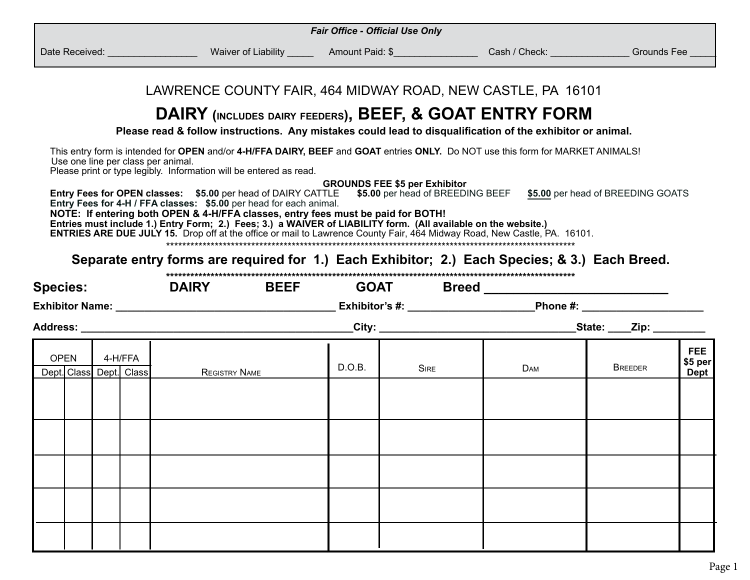| <b>Fair Office - Official Use Only</b>            |                                                                                                                                                                                                                                                                                                                                                                                                                                                                             |        |                                      |                                                                    |                |                                      |  |
|---------------------------------------------------|-----------------------------------------------------------------------------------------------------------------------------------------------------------------------------------------------------------------------------------------------------------------------------------------------------------------------------------------------------------------------------------------------------------------------------------------------------------------------------|--------|--------------------------------------|--------------------------------------------------------------------|----------------|--------------------------------------|--|
|                                                   | Date Received: ____________________Waiver of Liability _________Amount Paid: \$________________Cash / Check: _____________Grounds Fee __                                                                                                                                                                                                                                                                                                                                    |        |                                      |                                                                    |                |                                      |  |
|                                                   |                                                                                                                                                                                                                                                                                                                                                                                                                                                                             |        |                                      |                                                                    |                |                                      |  |
|                                                   | LAWRENCE COUNTY FAIR, 464 MIDWAY ROAD, NEW CASTLE, PA 16101                                                                                                                                                                                                                                                                                                                                                                                                                 |        |                                      |                                                                    |                |                                      |  |
|                                                   | DAIRY (INCLUDES DAIRY FEEDERS), BEEF, & GOAT ENTRY FORM                                                                                                                                                                                                                                                                                                                                                                                                                     |        |                                      |                                                                    |                |                                      |  |
|                                                   | Please read & follow instructions. Any mistakes could lead to disqualification of the exhibitor or animal.                                                                                                                                                                                                                                                                                                                                                                  |        |                                      |                                                                    |                |                                      |  |
| Use one line per class per animal.                | This entry form is intended for OPEN and/or 4-H/FFA DAIRY, BEEF and GOAT entries ONLY. Do NOT use this form for MARKET ANIMALS!<br>Please print or type legibly. Information will be entered as read.                                                                                                                                                                                                                                                                       |        |                                      |                                                                    |                |                                      |  |
|                                                   | Entry Fees for OPEN classes: \$5.00 per head of DAIRY CATTLE<br>Entry Fees for 4-H / FFA classes: \$5.00 per head for each animal.<br>NOTE: If entering both OPEN & 4-H/FFA classes, entry fees must be paid for BOTH!<br>Entries must include 1.) Entry Form; 2.) Fees; 3.) a WAIVER of LIABILITY form. (All available on the website.)<br><b>ENTRIES ARE DUE JULY 15.</b> Drop off at the office or mail to Lawrence County Fair, 464 Midway Road, New Castle, PA. 16101. |        | <b>GROUNDS FEE \$5 per Exhibitor</b> | \$5.00 per head of BREEDING BEEF \$5.00 per head of BREEDING GOATS |                |                                      |  |
|                                                   |                                                                                                                                                                                                                                                                                                                                                                                                                                                                             |        |                                      |                                                                    |                |                                      |  |
|                                                   | Separate entry forms are required for 1.) Each Exhibitor; 2.) Each Species; & 3.) Each Breed.                                                                                                                                                                                                                                                                                                                                                                               |        |                                      |                                                                    |                |                                      |  |
| <b>Species:</b>                                   | DAIRY BEEF                                                                                                                                                                                                                                                                                                                                                                                                                                                                  |        |                                      |                                                                    |                |                                      |  |
|                                                   |                                                                                                                                                                                                                                                                                                                                                                                                                                                                             |        |                                      |                                                                    |                |                                      |  |
|                                                   | Address: Andreas Address: Address: Address: Address: Address: Address: Address: Address: Address: Address: Address: Address: Address: Address: Address: Address: Address: Address: Address: Address: Address: Address: Address                                                                                                                                                                                                                                              |        |                                      |                                                                    |                |                                      |  |
| <b>OPEN</b><br>4-H/FFA<br>Dept. Class Dept. Class | <b>REGISTRY NAME</b>                                                                                                                                                                                                                                                                                                                                                                                                                                                        | D.O.B. | <b>SIRE</b>                          | DAM                                                                | <b>BREEDER</b> | <b>FEE</b><br>\$5 per<br><b>Dept</b> |  |
|                                                   |                                                                                                                                                                                                                                                                                                                                                                                                                                                                             |        |                                      |                                                                    |                |                                      |  |
|                                                   |                                                                                                                                                                                                                                                                                                                                                                                                                                                                             |        |                                      |                                                                    |                |                                      |  |
|                                                   |                                                                                                                                                                                                                                                                                                                                                                                                                                                                             |        |                                      |                                                                    |                |                                      |  |
|                                                   |                                                                                                                                                                                                                                                                                                                                                                                                                                                                             |        |                                      |                                                                    |                |                                      |  |
|                                                   |                                                                                                                                                                                                                                                                                                                                                                                                                                                                             |        |                                      |                                                                    |                |                                      |  |
|                                                   |                                                                                                                                                                                                                                                                                                                                                                                                                                                                             |        |                                      |                                                                    |                |                                      |  |
|                                                   |                                                                                                                                                                                                                                                                                                                                                                                                                                                                             |        |                                      |                                                                    |                |                                      |  |
|                                                   |                                                                                                                                                                                                                                                                                                                                                                                                                                                                             |        |                                      |                                                                    |                |                                      |  |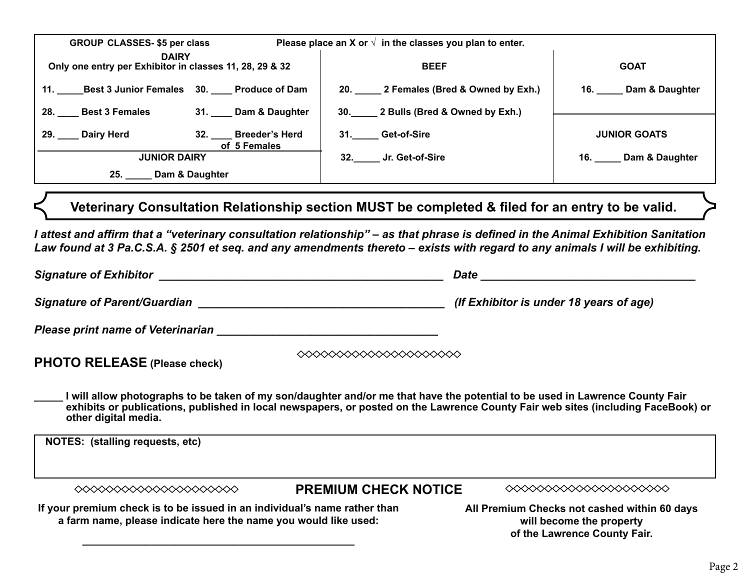| <b>GROUP CLASSES-\$5 per class</b>                                      | Please place an X or $\sqrt{ }$ in the classes you plan to enter. |                     |  |  |
|-------------------------------------------------------------------------|-------------------------------------------------------------------|---------------------|--|--|
| <b>DAIRY</b><br>Only one entry per Exhibitor in classes 11, 28, 29 & 32 | <b>BEEF</b>                                                       | <b>GOAT</b>         |  |  |
| 11. Best 3 Junior Females 30. Produce of Dam                            | 20. 2 Females (Bred & Owned by Exh.)                              | 16. Dam & Daughter  |  |  |
| 31. Dam & Daughter<br>28. Best 3 Females                                | 30. 2 Bulls (Bred & Owned by Exh.)                                |                     |  |  |
| 29. Dairy Herd<br>32. Breeder's Herd<br>of 5 Females                    | 31. Get-of-Sire                                                   | <b>JUNIOR GOATS</b> |  |  |
| <b>JUNIOR DAIRY</b>                                                     | 32. Jr. Get-of-Sire                                               | 16. Dam & Daughter  |  |  |
| 25. Dam & Daughter                                                      |                                                                   |                     |  |  |

**Veterinary Consultation Relationship section MUST be completed & filed for an entry to be valid.**

*I attest and affirm that a "veterinary consultation relationship" – as that phrase is defined in the Animal Exhibition Sanitation Law found at 3 Pa.C.S.A. § 2501 et seq. and any amendments thereto – exists with regard to any animals I will be exhibiting.*

| <b>Signature of Exhibitor</b>                                                                                                                                                                                                                                                                                                                            |                                                                                                          | Date                                                                                                                                                                                                                                                             |  |  |
|----------------------------------------------------------------------------------------------------------------------------------------------------------------------------------------------------------------------------------------------------------------------------------------------------------------------------------------------------------|----------------------------------------------------------------------------------------------------------|------------------------------------------------------------------------------------------------------------------------------------------------------------------------------------------------------------------------------------------------------------------|--|--|
| Signature of Parent/Guardian example of the state of the state of the state of the state of the state of the s                                                                                                                                                                                                                                           |                                                                                                          | (If Exhibitor is under 18 years of age)                                                                                                                                                                                                                          |  |  |
| <b>Please print name of Veterinarian</b>                                                                                                                                                                                                                                                                                                                 |                                                                                                          |                                                                                                                                                                                                                                                                  |  |  |
| <b>PHOTO RELEASE (Please check)</b>                                                                                                                                                                                                                                                                                                                      |                                                                                                          |                                                                                                                                                                                                                                                                  |  |  |
| other digital media.                                                                                                                                                                                                                                                                                                                                     |                                                                                                          | I will allow photographs to be taken of my son/daughter and/or me that have the potential to be used in Lawrence County Fair<br>exhibits or publications, published in local newspapers, or posted on the Lawrence County Fair web sites (including FaceBook) or |  |  |
| NOTES: (stalling requests, etc)                                                                                                                                                                                                                                                                                                                          |                                                                                                          |                                                                                                                                                                                                                                                                  |  |  |
| $\begin{picture}(180,10) \put(0,0){\line(1,0){10}} \put(0,0){\line(1,0){10}} \put(0,0){\line(1,0){10}} \put(0,0){\line(1,0){10}} \put(0,0){\line(1,0){10}} \put(0,0){\line(1,0){10}} \put(0,0){\line(1,0){10}} \put(0,0){\line(1,0){10}} \put(0,0){\line(1,0){10}} \put(0,0){\line(1,0){10}} \put(0,0){\line(1,0){10}} \put(0,0){\line(1,0){10}} \put(0$ | <b>PREMIUM CHECK NOTICE</b>                                                                              | ◇◇◇◇◇◇◇◇◇◇◇◇◇◇◇◇◇◇◇◇◇                                                                                                                                                                                                                                            |  |  |
| If your premium check is to be issued in an individual's name rather than<br>a farm name, please indicate here the name you would like used:                                                                                                                                                                                                             | All Premium Checks not cashed within 60 days<br>will become the property<br>of the Lawrence County Fair. |                                                                                                                                                                                                                                                                  |  |  |

**\_\_\_\_\_\_\_\_\_\_\_\_\_\_\_\_\_\_\_\_\_\_\_\_\_\_\_\_\_\_\_\_\_\_\_\_\_\_\_\_\_\_\_\_\_\_\_**